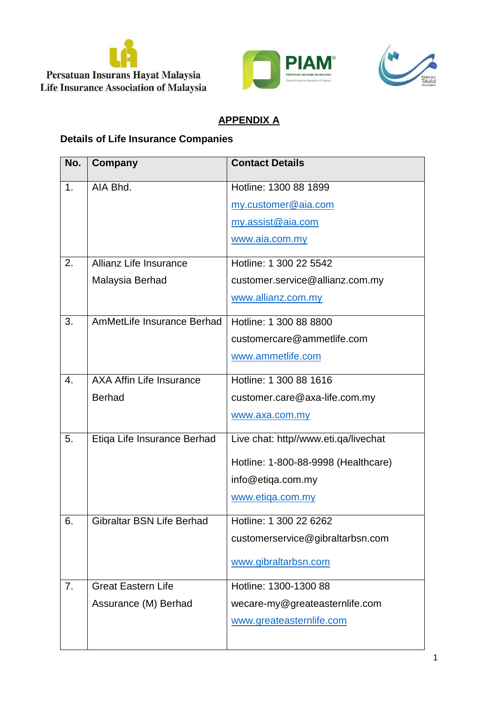





## **APPENDIX A**

## **Details of Life Insurance Companies**

| No.            | Company                          | <b>Contact Details</b>               |
|----------------|----------------------------------|--------------------------------------|
| 1 <sub>1</sub> | AIA Bhd.                         | Hotline: 1300 88 1899                |
|                |                                  | my.customer@aia.com                  |
|                |                                  | my.assist@aia.com                    |
|                |                                  | www.aia.com.my                       |
| 2.             | Allianz Life Insurance           | Hotline: 1 300 22 5542               |
|                | Malaysia Berhad                  | customer.service@allianz.com.my      |
|                |                                  | www.allianz.com.my                   |
| 3.             | AmMetLife Insurance Berhad       | Hotline: 1 300 88 8800               |
|                |                                  | customercare@ammetlife.com           |
|                |                                  | www.ammetlife.com                    |
| 4.             | <b>AXA Affin Life Insurance</b>  | Hotline: 1 300 88 1616               |
|                | <b>Berhad</b>                    | customer.care@axa-life.com.my        |
|                |                                  | www.axa.com.my                       |
| 5.             | Etiqa Life Insurance Berhad      | Live chat: http//www.eti.qa/livechat |
|                |                                  | Hotline: 1-800-88-9998 (Healthcare)  |
|                |                                  | info@etiqa.com.my                    |
|                |                                  | www.etiga.com.my                     |
| 6.             | <b>Gibraltar BSN Life Berhad</b> | Hotline: 1 300 22 6262               |
|                |                                  | customerservice@gibraltarbsn.com     |
|                |                                  | www.gibraltarbsn.com                 |
| 7.             | <b>Great Eastern Life</b>        | Hotline: 1300-1300 88                |
|                | Assurance (M) Berhad             | wecare-my@greateasternlife.com       |
|                |                                  | www.greateasternlife.com             |
|                |                                  |                                      |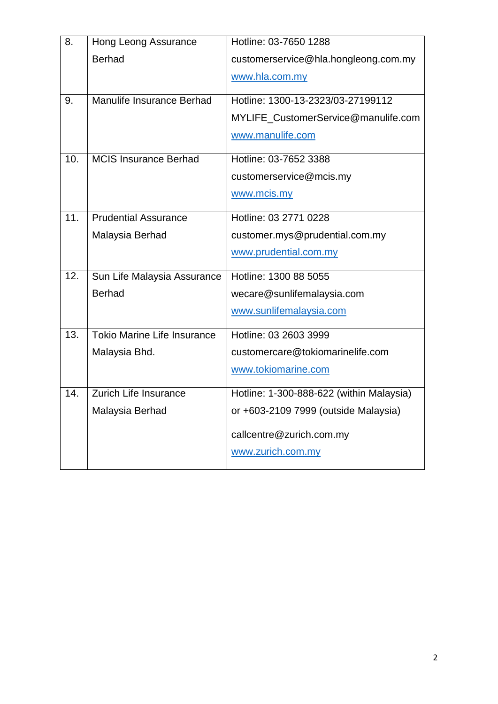| <b>Hong Leong Assurance</b>  | Hotline: 03-7650 1288                    |
|------------------------------|------------------------------------------|
| <b>Berhad</b>                | customerservice@hla.hongleong.com.my     |
|                              | www.hla.com.my                           |
| Manulife Insurance Berhad    | Hotline: 1300-13-2323/03-27199112        |
|                              | MYLIFE_CustomerService@manulife.com      |
|                              | www.manulife.com                         |
| <b>MCIS Insurance Berhad</b> | Hotline: 03-7652 3388                    |
|                              | customerservice@mcis.my                  |
|                              | www.mcis.my                              |
| <b>Prudential Assurance</b>  | Hotline: 03 2771 0228                    |
| Malaysia Berhad              | customer.mys@prudential.com.my           |
|                              | www.prudential.com.my                    |
| Sun Life Malaysia Assurance  | Hotline: 1300 88 5055                    |
| <b>Berhad</b>                | wecare@sunlifemalaysia.com               |
|                              | www.sunlifemalaysia.com                  |
| Tokio Marine Life Insurance  | Hotline: 03 2603 3999                    |
| Malaysia Bhd.                | customercare@tokiomarinelife.com         |
|                              | www.tokiomarine.com                      |
| Zurich Life Insurance        | Hotline: 1-300-888-622 (within Malaysia) |
| Malaysia Berhad              | or +603-2109 7999 (outside Malaysia)     |
|                              |                                          |
|                              | callcentre@zurich.com.my                 |
|                              |                                          |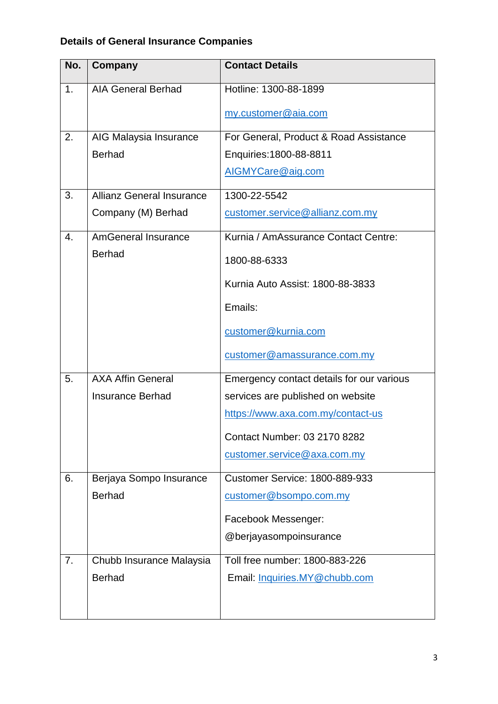## **Details of General Insurance Companies**

| No.            | Company                          | <b>Contact Details</b>                    |
|----------------|----------------------------------|-------------------------------------------|
| 1 <sub>1</sub> | <b>AIA General Berhad</b>        | Hotline: 1300-88-1899                     |
|                |                                  | my.customer@aia.com                       |
| 2.             | AIG Malaysia Insurance           | For General, Product & Road Assistance    |
|                | <b>Berhad</b>                    | Enquiries: 1800-88-8811                   |
|                |                                  | AIGMYCare@aig.com                         |
| 3.             | <b>Allianz General Insurance</b> | 1300-22-5542                              |
|                | Company (M) Berhad               | customer.service@allianz.com.my           |
| 4.             | <b>AmGeneral Insurance</b>       | Kurnia / AmAssurance Contact Centre:      |
|                | <b>Berhad</b>                    | 1800-88-6333                              |
|                |                                  | Kurnia Auto Assist: 1800-88-3833          |
|                |                                  | Emails:                                   |
|                |                                  | customer@kurnia.com                       |
|                |                                  | customer@amassurance.com.my               |
| 5.             | <b>AXA Affin General</b>         | Emergency contact details for our various |
|                | <b>Insurance Berhad</b>          | services are published on website         |
|                |                                  | https://www.axa.com.my/contact-us         |
|                |                                  | Contact Number: 03 2170 8282              |
|                |                                  | customer.service@axa.com.my               |
| 6.             | Berjaya Sompo Insurance          | <b>Customer Service: 1800-889-933</b>     |
|                | <b>Berhad</b>                    | customer@bsompo.com.my                    |
|                |                                  | Facebook Messenger:                       |
|                |                                  | @berjayasompoinsurance                    |
| 7.             | Chubb Insurance Malaysia         | Toll free number: 1800-883-226            |
|                | <b>Berhad</b>                    | Email: Inquiries.MY@chubb.com             |
|                |                                  |                                           |
|                |                                  |                                           |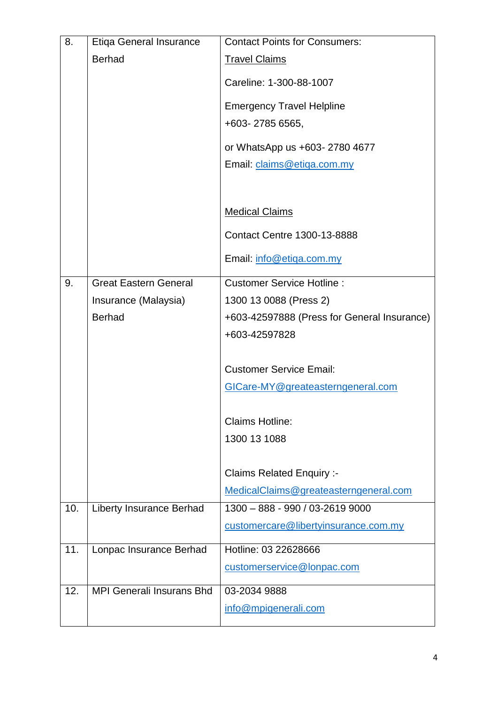| 8.  | <b>Etiga General Insurance</b>   | <b>Contact Points for Consumers:</b>        |
|-----|----------------------------------|---------------------------------------------|
|     | <b>Berhad</b>                    | <b>Travel Claims</b>                        |
|     |                                  | Careline: 1-300-88-1007                     |
|     |                                  | <b>Emergency Travel Helpline</b>            |
|     |                                  | +603-2785 6565,                             |
|     |                                  | or WhatsApp us +603-2780 4677               |
|     |                                  | Email: claims@etiga.com.my                  |
|     |                                  |                                             |
|     |                                  | <b>Medical Claims</b>                       |
|     |                                  | <b>Contact Centre 1300-13-8888</b>          |
|     |                                  | Email: info@etiga.com.my                    |
| 9.  | <b>Great Eastern General</b>     | <b>Customer Service Hotline:</b>            |
|     | Insurance (Malaysia)             | 1300 13 0088 (Press 2)                      |
|     | <b>Berhad</b>                    | +603-42597888 (Press for General Insurance) |
|     |                                  | +603-42597828                               |
|     |                                  | <b>Customer Service Email:</b>              |
|     |                                  | GICare-MY@greateasterngeneral.com           |
|     |                                  |                                             |
|     |                                  | <b>Claims Hotline:</b>                      |
|     |                                  | 1300 13 1088                                |
|     |                                  |                                             |
|     |                                  | <b>Claims Related Enquiry :-</b>            |
|     |                                  | MedicalClaims@greateasterngeneral.com       |
| 10. | <b>Liberty Insurance Berhad</b>  | 1300 - 888 - 990 / 03-2619 9000             |
|     |                                  | customercare@libertyinsurance.com.my        |
| 11. | Lonpac Insurance Berhad          | Hotline: 03 22628666                        |
|     |                                  | customerservice@lonpac.com                  |
| 12. | <b>MPI Generali Insurans Bhd</b> | 03-2034 9888                                |
|     |                                  | info@mpigenerali.com                        |
|     |                                  |                                             |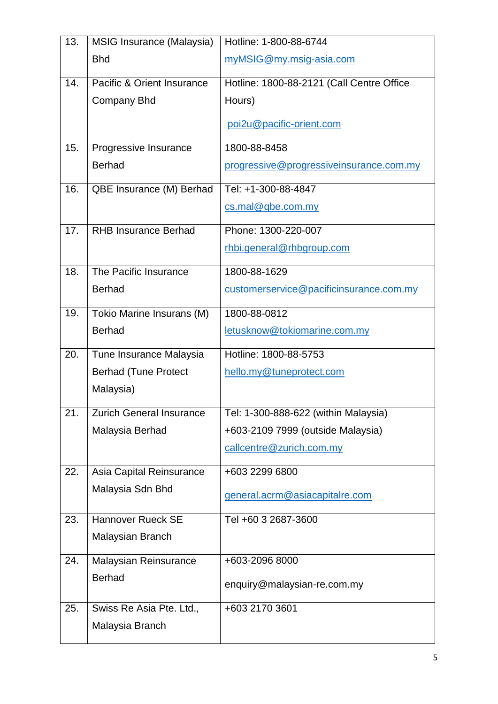| 13. | MSIG Insurance (Malaysia)       | Hotline: 1-800-88-6744                    |
|-----|---------------------------------|-------------------------------------------|
|     | <b>Bhd</b>                      | myMSIG@my.msig-asia.com                   |
| 14. | Pacific & Orient Insurance      | Hotline: 1800-88-2121 (Call Centre Office |
|     | <b>Company Bhd</b>              | Hours)                                    |
|     |                                 | poi2u@pacific-orient.com                  |
|     |                                 |                                           |
| 15. | Progressive Insurance           | 1800-88-8458                              |
|     | <b>Berhad</b>                   | progressive@progressiveinsurance.com.my   |
| 16. | QBE Insurance (M) Berhad        | Tel: +1-300-88-4847                       |
|     |                                 | cs.mal@qbe.com.my                         |
| 17. | <b>RHB Insurance Berhad</b>     | Phone: 1300-220-007                       |
|     |                                 | rhbi.general@rhbgroup.com                 |
| 18. | The Pacific Insurance           | 1800-88-1629                              |
|     | <b>Berhad</b>                   | customerservice@pacificinsurance.com.my   |
| 19. | Tokio Marine Insurans (M)       | 1800-88-0812                              |
|     | <b>Berhad</b>                   | letusknow@tokiomarine.com.my              |
| 20. | Tune Insurance Malaysia         | Hotline: 1800-88-5753                     |
|     | <b>Berhad (Tune Protect</b>     | hello.my@tuneprotect.com                  |
|     | Malaysia)                       |                                           |
| 21. | <b>Zurich General Insurance</b> | Tel: 1-300-888-622 (within Malaysia)      |
|     | Malaysia Berhad                 | +603-2109 7999 (outside Malaysia)         |
|     |                                 | callcentre@zurich.com.my                  |
| 22. | Asia Capital Reinsurance        | +603 2299 6800                            |
|     | Malaysia Sdn Bhd                | general.acrm@asiacapitalre.com            |
|     |                                 |                                           |
| 23. | <b>Hannover Rueck SE</b>        | Tel +60 3 2687-3600                       |
|     | Malaysian Branch                |                                           |
| 24. | <b>Malaysian Reinsurance</b>    | +603-2096 8000                            |
|     | <b>Berhad</b>                   | enquiry@malaysian-re.com.my               |
| 25. | Swiss Re Asia Pte. Ltd.,        | +603 2170 3601                            |
|     | Malaysia Branch                 |                                           |
|     |                                 |                                           |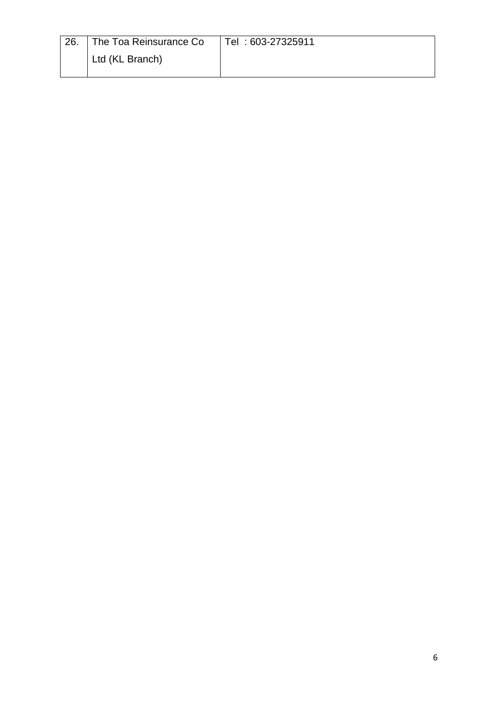| 26. The Toa Reinsurance Co | Tel: 603-27325911 |
|----------------------------|-------------------|
| Ltd (KL Branch)            |                   |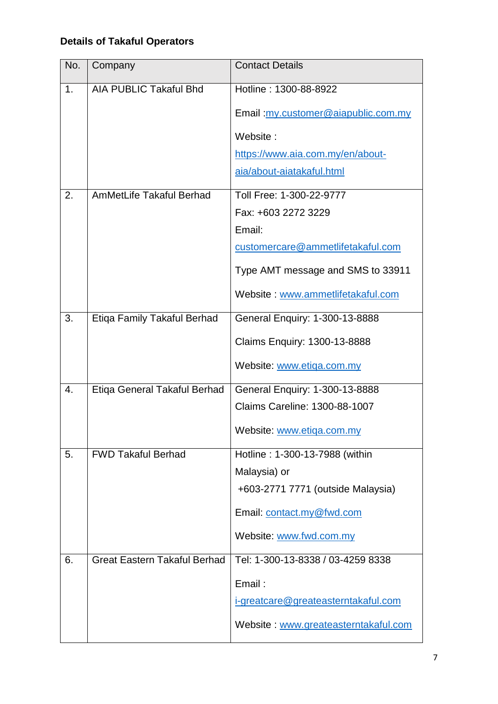## **Details of Takaful Operators**

| No. | Company                             | <b>Contact Details</b>               |
|-----|-------------------------------------|--------------------------------------|
| 1.  | <b>AIA PUBLIC Takaful Bhd</b>       | Hotline: 1300-88-8922                |
|     |                                     | Email: my.customer@aiapublic.com.my  |
|     |                                     | Website:                             |
|     |                                     | https://www.aia.com.my/en/about-     |
|     |                                     | aia/about-aiatakaful.html            |
| 2.  | <b>AmMetLife Takaful Berhad</b>     | Toll Free: 1-300-22-9777             |
|     |                                     | Fax: +603 2272 3229                  |
|     |                                     | Email:                               |
|     |                                     | customercare@ammetlifetakaful.com    |
|     |                                     | Type AMT message and SMS to 33911    |
|     |                                     | Website: www.ammetlifetakaful.com    |
| 3.  | Etiqa Family Takaful Berhad         | General Enquiry: 1-300-13-8888       |
|     |                                     | Claims Enquiry: 1300-13-8888         |
|     |                                     | Website: www.etiga.com.my            |
| 4.  | Etiqa General Takaful Berhad        | General Enquiry: 1-300-13-8888       |
|     |                                     | Claims Careline: 1300-88-1007        |
|     |                                     | Website: www.etiqa.com.my            |
| 5.  | <b>FWD Takaful Berhad</b>           | Hotline: 1-300-13-7988 (within       |
|     |                                     | Malaysia) or                         |
|     |                                     | +603-2771 7771 (outside Malaysia)    |
|     |                                     | Email: contact.my@fwd.com            |
|     |                                     | Website: www.fwd.com.my              |
| 6.  | <b>Great Eastern Takaful Berhad</b> | Tel: 1-300-13-8338 / 03-4259 8338    |
|     |                                     | Email:                               |
|     |                                     | i-greatcare@greateasterntakaful.com  |
|     |                                     | Website: www.greateasterntakaful.com |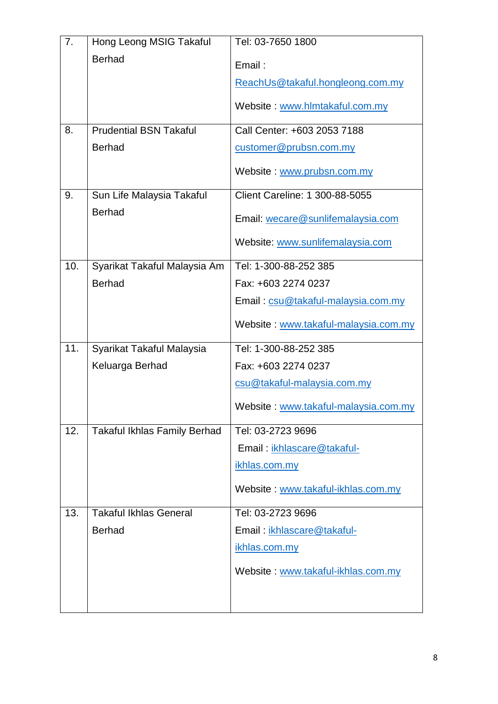| 7.  | Hong Leong MSIG Takaful             | Tel: 03-7650 1800                    |
|-----|-------------------------------------|--------------------------------------|
|     | <b>Berhad</b>                       | Email:                               |
|     |                                     | ReachUs@takaful.hongleong.com.my     |
|     |                                     | Website: www.hlmtakaful.com.my       |
| 8.  | <b>Prudential BSN Takaful</b>       | Call Center: +603 2053 7188          |
|     | <b>Berhad</b>                       | customer@prubsn.com.my               |
|     |                                     | Website: www.prubsn.com.my           |
| 9.  | Sun Life Malaysia Takaful           | Client Careline: 1 300-88-5055       |
|     | <b>Berhad</b>                       | Email: wecare@sunlifemalaysia.com    |
|     |                                     | Website: www.sunlifemalaysia.com     |
| 10. | Syarikat Takaful Malaysia Am        | Tel: 1-300-88-252 385                |
|     | <b>Berhad</b>                       | Fax: +603 2274 0237                  |
|     |                                     | Email: csu@takaful-malaysia.com.my   |
|     |                                     | Website: www.takaful-malaysia.com.my |
| 11. | Syarikat Takaful Malaysia           | Tel: 1-300-88-252 385                |
|     | Keluarga Berhad                     | Fax: +603 2274 0237                  |
|     |                                     | csu@takaful-malaysia.com.my          |
|     |                                     | Website: www.takaful-malaysia.com.my |
| 12. | <b>Takaful Ikhlas Family Berhad</b> | Tel: 03-2723 9696                    |
|     |                                     | Email: ikhlascare@takaful-           |
|     |                                     | ikhlas.com.my                        |
|     |                                     | Website: www.takaful-ikhlas.com.my   |
| 13. | <b>Takaful Ikhlas General</b>       | Tel: 03-2723 9696                    |
|     | <b>Berhad</b>                       | Email: ikhlascare@takaful-           |
|     |                                     | ikhlas.com.my                        |
|     |                                     | Website: www.takaful-ikhlas.com.my   |
|     |                                     |                                      |